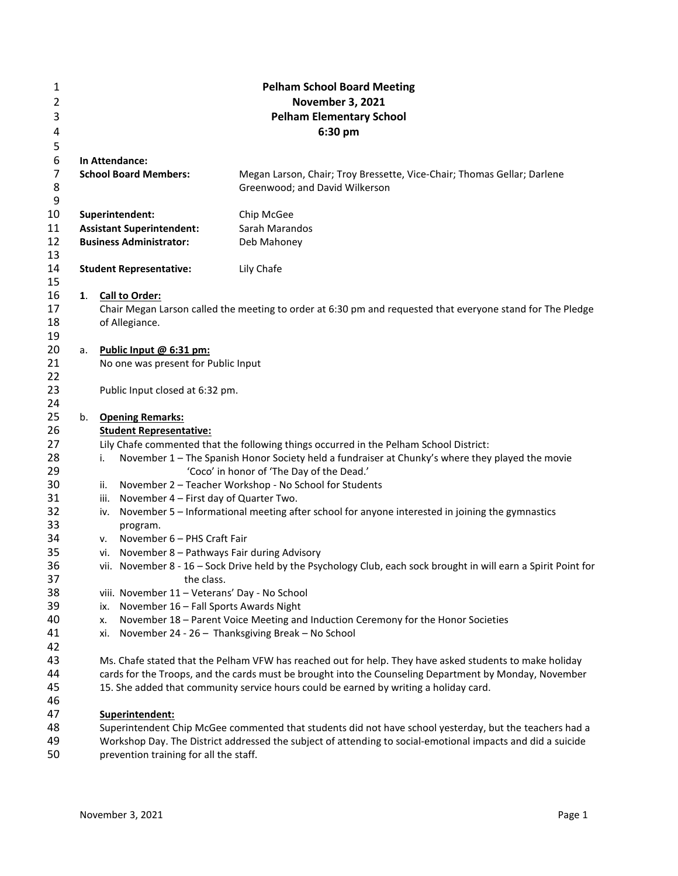| 1              |                                 |                                                   | <b>Pelham School Board Meeting</b>                                                                                                     |  |  |  |
|----------------|---------------------------------|---------------------------------------------------|----------------------------------------------------------------------------------------------------------------------------------------|--|--|--|
| 2              | <b>November 3, 2021</b>         |                                                   |                                                                                                                                        |  |  |  |
| 3              | <b>Pelham Elementary School</b> |                                                   |                                                                                                                                        |  |  |  |
| 4              |                                 |                                                   | 6:30 pm                                                                                                                                |  |  |  |
| 5              |                                 |                                                   |                                                                                                                                        |  |  |  |
| 6              |                                 | In Attendance:                                    |                                                                                                                                        |  |  |  |
| $\overline{7}$ |                                 | <b>School Board Members:</b>                      | Megan Larson, Chair; Troy Bressette, Vice-Chair; Thomas Gellar; Darlene                                                                |  |  |  |
| 8              |                                 |                                                   | Greenwood; and David Wilkerson                                                                                                         |  |  |  |
| 9              |                                 |                                                   |                                                                                                                                        |  |  |  |
| 10             |                                 | Superintendent:                                   | Chip McGee                                                                                                                             |  |  |  |
| 11             |                                 | <b>Assistant Superintendent:</b>                  | Sarah Marandos                                                                                                                         |  |  |  |
| 12             |                                 | <b>Business Administrator:</b>                    | Deb Mahoney                                                                                                                            |  |  |  |
| 13             |                                 |                                                   |                                                                                                                                        |  |  |  |
| 14             |                                 | <b>Student Representative:</b>                    | Lily Chafe                                                                                                                             |  |  |  |
| 15             |                                 |                                                   |                                                                                                                                        |  |  |  |
| 16             | 1.                              | <b>Call to Order:</b>                             |                                                                                                                                        |  |  |  |
| 17             |                                 |                                                   | Chair Megan Larson called the meeting to order at 6:30 pm and requested that everyone stand for The Pledge                             |  |  |  |
| 18             |                                 | of Allegiance.                                    |                                                                                                                                        |  |  |  |
| 19             |                                 |                                                   |                                                                                                                                        |  |  |  |
| 20             | а.                              | Public Input @ 6:31 pm:                           |                                                                                                                                        |  |  |  |
| 21<br>22       |                                 | No one was present for Public Input               |                                                                                                                                        |  |  |  |
| 23             |                                 | Public Input closed at 6:32 pm.                   |                                                                                                                                        |  |  |  |
| 24             |                                 |                                                   |                                                                                                                                        |  |  |  |
| 25             | b.                              | <b>Opening Remarks:</b>                           |                                                                                                                                        |  |  |  |
| 26             |                                 | <b>Student Representative:</b>                    |                                                                                                                                        |  |  |  |
| 27             |                                 |                                                   | Lily Chafe commented that the following things occurred in the Pelham School District:                                                 |  |  |  |
| 28             |                                 | i.                                                | November 1 - The Spanish Honor Society held a fundraiser at Chunky's where they played the movie                                       |  |  |  |
| 29             |                                 |                                                   | 'Coco' in honor of 'The Day of the Dead.'                                                                                              |  |  |  |
| 30             |                                 | ii.                                               | November 2 - Teacher Workshop - No School for Students                                                                                 |  |  |  |
| 31             |                                 | November 4 - First day of Quarter Two.<br>iii.    |                                                                                                                                        |  |  |  |
| 32             |                                 | iv.                                               | November 5 - Informational meeting after school for anyone interested in joining the gymnastics                                        |  |  |  |
| 33             |                                 | program.                                          |                                                                                                                                        |  |  |  |
| 34             |                                 | November 6 - PHS Craft Fair<br>v.                 |                                                                                                                                        |  |  |  |
| 35             |                                 | November 8 - Pathways Fair during Advisory<br>vi. |                                                                                                                                        |  |  |  |
| 36             |                                 |                                                   | vii. November 8 - 16 - Sock Drive held by the Psychology Club, each sock brought in will earn a Spirit Point for                       |  |  |  |
| 37             |                                 | the class.                                        |                                                                                                                                        |  |  |  |
| 38             |                                 | viii. November 11 - Veterans' Day - No School     |                                                                                                                                        |  |  |  |
| 39             |                                 | November 16 - Fall Sports Awards Night<br>ix.     |                                                                                                                                        |  |  |  |
| 40<br>41       |                                 | х.<br>xi.                                         | November 18 - Parent Voice Meeting and Induction Ceremony for the Honor Societies<br>November 24 - 26 - Thanksgiving Break - No School |  |  |  |
| 42             |                                 |                                                   |                                                                                                                                        |  |  |  |
| 43             |                                 |                                                   | Ms. Chafe stated that the Pelham VFW has reached out for help. They have asked students to make holiday                                |  |  |  |
| 44             |                                 |                                                   | cards for the Troops, and the cards must be brought into the Counseling Department by Monday, November                                 |  |  |  |
| 45             |                                 |                                                   | 15. She added that community service hours could be earned by writing a holiday card.                                                  |  |  |  |
| 46             |                                 |                                                   |                                                                                                                                        |  |  |  |
| 47             |                                 | Superintendent:                                   |                                                                                                                                        |  |  |  |
| 48             |                                 |                                                   | Superintendent Chip McGee commented that students did not have school yesterday, but the teachers had a                                |  |  |  |
| 49             |                                 |                                                   | Workshop Day. The District addressed the subject of attending to social-emotional impacts and did a suicide                            |  |  |  |

prevention training for all the staff.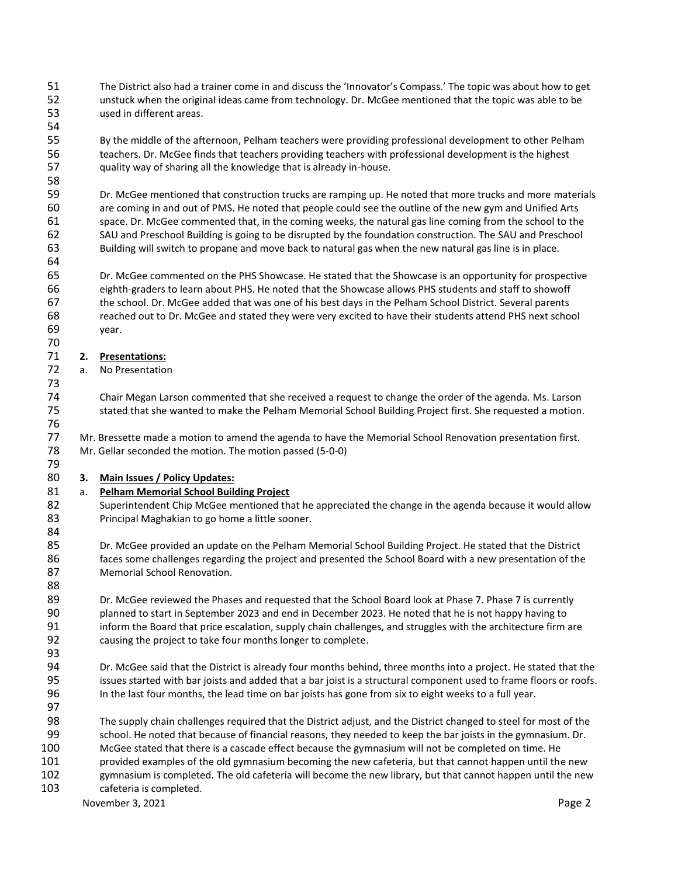- The District also had a trainer come in and discuss the 'Innovator's Compass.' The topic was about how to get unstuck when the original ideas came from technology. Dr. McGee mentioned that the topic was able to be used in different areas.
- By the middle of the afternoon, Pelham teachers were providing professional development to other Pelham teachers. Dr. McGee finds that teachers providing teachers with professional development is the highest quality way of sharing all the knowledge that is already in-house.
- Dr. McGee mentioned that construction trucks are ramping up. He noted that more trucks and more materials are coming in and out of PMS. He noted that people could see the outline of the new gym and Unified Arts space. Dr. McGee commented that, in the coming weeks, the natural gas line coming from the school to the SAU and Preschool Building is going to be disrupted by the foundation construction. The SAU and Preschool Building will switch to propane and move back to natural gas when the new natural gas line is in place.
- Dr. McGee commented on the PHS Showcase. He stated that the Showcase is an opportunity for prospective eighth-graders to learn about PHS. He noted that the Showcase allows PHS students and staff to showoff the school. Dr. McGee added that was one of his best days in the Pelham School District. Several parents reached out to Dr. McGee and stated they were very excited to have their students attend PHS next school year.

#### **2. Presentations:**

- a. No Presentation
- Chair Megan Larson commented that she received a request to change the order of the agenda. Ms. Larson stated that she wanted to make the Pelham Memorial School Building Project first. She requested a motion.
- Mr. Bressette made a motion to amend the agenda to have the Memorial School Renovation presentation first. Mr. Gellar seconded the motion. The motion passed (5-0-0)

## **3. Main Issues / Policy Updates:**

## a. **Pelham Memorial School Building Project**

- Superintendent Chip McGee mentioned that he appreciated the change in the agenda because it would allow 83 Principal Maghakian to go home a little sooner.
- Dr. McGee provided an update on the Pelham Memorial School Building Project. He stated that the District faces some challenges regarding the project and presented the School Board with a new presentation of the Memorial School Renovation.
- 89 Dr. McGee reviewed the Phases and requested that the School Board look at Phase 7. Phase 7 is currently planned to start in September 2023 and end in December 2023. He noted that he is not happy having to inform the Board that price escalation, supply chain challenges, and struggles with the architecture firm are causing the project to take four months longer to complete.
- Dr. McGee said that the District is already four months behind, three months into a project. He stated that the issues started with bar joists and added that a bar joist is a structural component used to frame floors or roofs. In the last four months, the lead time on bar joists has gone from six to eight weeks to a full year.
- The supply chain challenges required that the District adjust, and the District changed to steel for most of the school. He noted that because of financial reasons, they needed to keep the bar joists in the gymnasium. Dr. McGee stated that there is a cascade effect because the gymnasium will not be completed on time. He provided examples of the old gymnasium becoming the new cafeteria, but that cannot happen until the new gymnasium is completed. The old cafeteria will become the new library, but that cannot happen until the new
- cafeteria is completed.

November 3, 2021 **Page 2** Page 2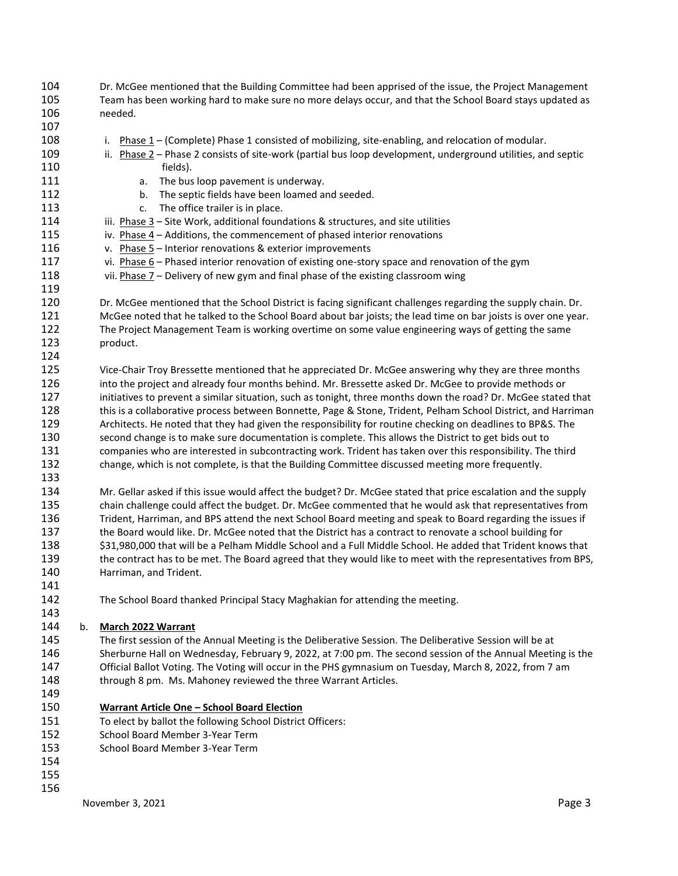Dr. McGee mentioned that the Building Committee had been apprised of the issue, the Project Management Team has been working hard to make sure no more delays occur, and that the School Board stays updated as needed.

- 108 i. Phase 1 – (Complete) Phase 1 consisted of mobilizing, site-enabling, and relocation of modular. ii. Phase 2 – Phase 2 consists of site-work (partial bus loop development, underground utilities, and septic fields).
- **a.** The bus loop pavement is underway.
- b. The septic fields have been loamed and seeded.
- **c.** The office trailer is in place.
- iii. Phase 3 Site Work, additional foundations & structures, and site utilities
- iv. Phase 4 Additions, the commencement of phased interior renovations
- v. Phase 5 Interior renovations & exterior improvements
- 117 vi. Phase 6 Phased interior renovation of existing one-story space and renovation of the gym
- vii. Phase 7 Delivery of new gym and final phase of the existing classroom wing
- Dr. McGee mentioned that the School District is facing significant challenges regarding the supply chain. Dr. McGee noted that he talked to the School Board about bar joists; the lead time on bar joists is over one year. The Project Management Team is working overtime on some value engineering ways of getting the same product.
- Vice-Chair Troy Bressette mentioned that he appreciated Dr. McGee answering why they are three months into the project and already four months behind. Mr. Bressette asked Dr. McGee to provide methods or initiatives to prevent a similar situation, such as tonight, three months down the road? Dr. McGee stated that this is a collaborative process between Bonnette, Page & Stone, Trident, Pelham School District, and Harriman Architects. He noted that they had given the responsibility for routine checking on deadlines to BP&S. The second change is to make sure documentation is complete. This allows the District to get bids out to companies who are interested in subcontracting work. Trident has taken over this responsibility. The third change, which is not complete, is that the Building Committee discussed meeting more frequently.
- 

 Mr. Gellar asked if this issue would affect the budget? Dr. McGee stated that price escalation and the supply chain challenge could affect the budget. Dr. McGee commented that he would ask that representatives from Trident, Harriman, and BPS attend the next School Board meeting and speak to Board regarding the issues if the Board would like. Dr. McGee noted that the District has a contract to renovate a school building for \$31,980,000 that will be a Pelham Middle School and a Full Middle School. He added that Trident knows that the contract has to be met. The Board agreed that they would like to meet with the representatives from BPS, Harriman, and Trident.

The School Board thanked Principal Stacy Maghakian for attending the meeting.

#### b. **March 2022 Warrant**

- The first session of the Annual Meeting is the Deliberative Session. The Deliberative Session will be at Sherburne Hall on Wednesday, February 9, 2022, at 7:00 pm. The second session of the Annual Meeting is the Official Ballot Voting. The Voting will occur in the PHS gymnasium on Tuesday, March 8, 2022, from 7 am 148 through 8 pm. Ms. Mahoney reviewed the three Warrant Articles.
- **Warrant Article One – School Board Election**
- To elect by ballot the following School District Officers:
- School Board Member 3-Year Term
- School Board Member 3-Year Term
- 

- 
-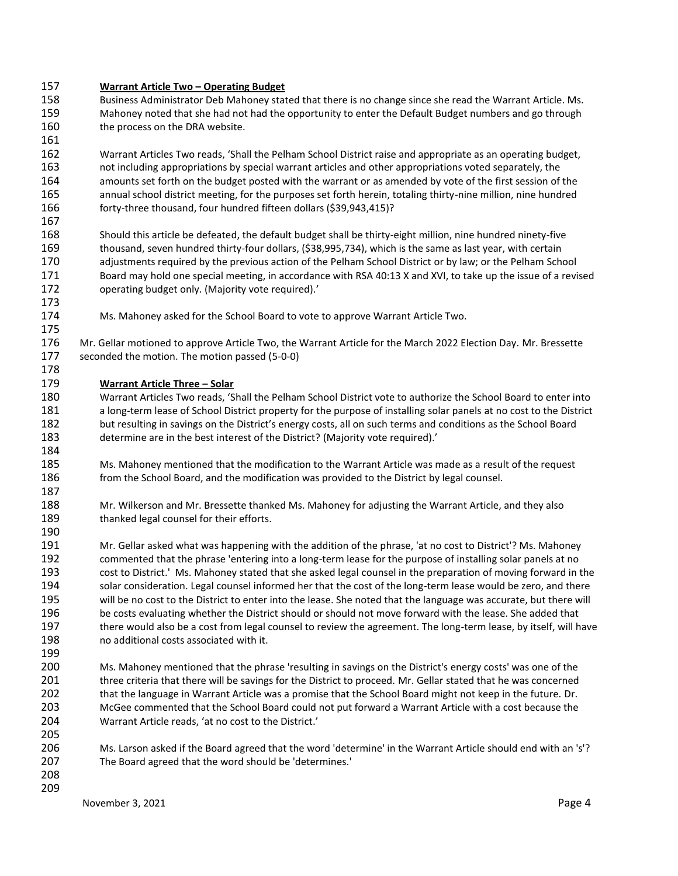#### **Warrant Article Two – Operating Budget**

- Business Administrator Deb Mahoney stated that there is no change since she read the Warrant Article. Ms. Mahoney noted that she had not had the opportunity to enter the Default Budget numbers and go through 160 the process on the DRA website.
- 

 Warrant Articles Two reads, 'Shall the Pelham School District raise and appropriate as an operating budget, not including appropriations by special warrant articles and other appropriations voted separately, the amounts set forth on the budget posted with the warrant or as amended by vote of the first session of the annual school district meeting, for the purposes set forth herein, totaling thirty-nine million, nine hundred forty-three thousand, four hundred fifteen dollars (\$39,943,415)?

- Should this article be defeated, the default budget shall be thirty-eight million, nine hundred ninety-five thousand, seven hundred thirty-four dollars, (\$38,995,734), which is the same as last year, with certain adjustments required by the previous action of the Pelham School District or by law; or the Pelham School Board may hold one special meeting, in accordance with RSA 40:13 X and XVI, to take up the issue of a revised operating budget only. (Majority vote required).'
- 

- Ms. Mahoney asked for the School Board to vote to approve Warrant Article Two.
- Mr. Gellar motioned to approve Article Two, the Warrant Article for the March 2022 Election Day. Mr. Bressette seconded the motion. The motion passed (5-0-0)

#### **Warrant Article Three – Solar**

- Warrant Articles Two reads, 'Shall the Pelham School District vote to authorize the School Board to enter into a long-term lease of School District property for the purpose of installing solar panels at no cost to the District but resulting in savings on the District's energy costs, all on such terms and conditions as the School Board determine are in the best interest of the District? (Majority vote required).'
- Ms. Mahoney mentioned that the modification to the Warrant Article was made as a result of the request 186 from the School Board, and the modification was provided to the District by legal counsel.
- Mr. Wilkerson and Mr. Bressette thanked Ms. Mahoney for adjusting the Warrant Article, and they also 189 thanked legal counsel for their efforts.
- Mr. Gellar asked what was happening with the addition of the phrase, 'at no cost to District'? Ms. Mahoney commented that the phrase 'entering into a long-term lease for the purpose of installing solar panels at no cost to District.' Ms. Mahoney stated that she asked legal counsel in the preparation of moving forward in the solar consideration. Legal counsel informed her that the cost of the long-term lease would be zero, and there will be no cost to the District to enter into the lease. She noted that the language was accurate, but there will be costs evaluating whether the District should or should not move forward with the lease. She added that there would also be a cost from legal counsel to review the agreement. The long-term lease, by itself, will have no additional costs associated with it.
- Ms. Mahoney mentioned that the phrase 'resulting in savings on the District's energy costs' was one of the three criteria that there will be savings for the District to proceed. Mr. Gellar stated that he was concerned that the language in Warrant Article was a promise that the School Board might not keep in the future. Dr. McGee commented that the School Board could not put forward a Warrant Article with a cost because the Warrant Article reads, 'at no cost to the District.'
- Ms. Larson asked if the Board agreed that the word 'determine' in the Warrant Article should end with an 's'? The Board agreed that the word should be 'determines.'
- 

November 3, 2021 **Page 4**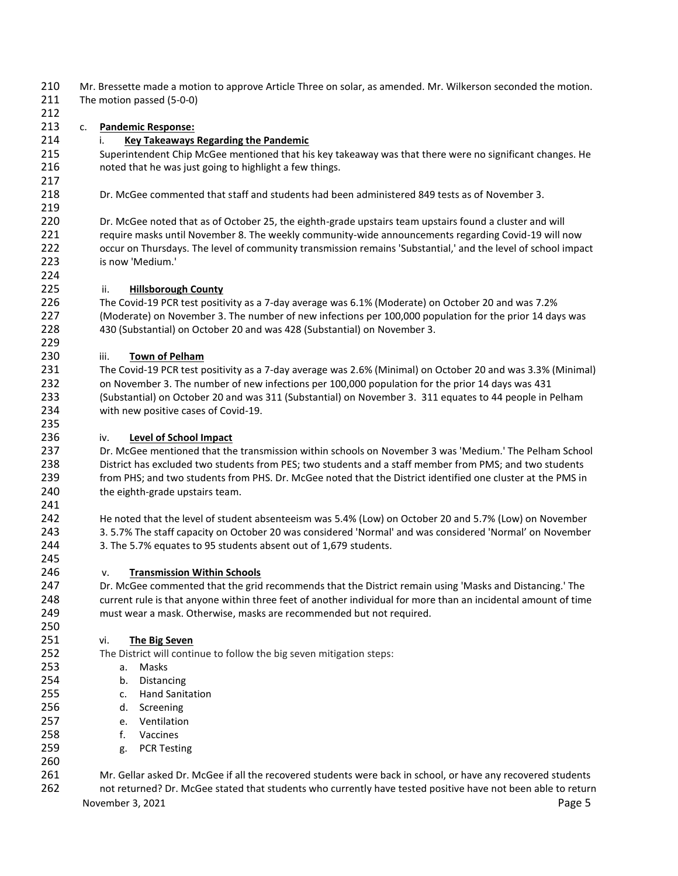Mr. Bressette made a motion to approve Article Three on solar, as amended. Mr. Wilkerson seconded the motion. The motion passed (5-0-0)

## c. **Pandemic Response:**

### i. **Key Takeaways Regarding the Pandemic**

 Superintendent Chip McGee mentioned that his key takeaway was that there were no significant changes. He noted that he was just going to highlight a few things.

Dr. McGee commented that staff and students had been administered 849 tests as of November 3.

 Dr. McGee noted that as of October 25, the eighth-grade upstairs team upstairs found a cluster and will 221 require masks until November 8. The weekly community-wide announcements regarding Covid-19 will now occur on Thursdays. The level of community transmission remains 'Substantial,' and the level of school impact is now 'Medium.'

#### ii. **Hillsborough County**

 The Covid-19 PCR test positivity as a 7-day average was 6.1% (Moderate) on October 20 and was 7.2% (Moderate) on November 3. The number of new infections per 100,000 population for the prior 14 days was 430 (Substantial) on October 20 and was 428 (Substantial) on November 3.

#### iii. **Town of Pelham**

 The Covid-19 PCR test positivity as a 7-day average was 2.6% (Minimal) on October 20 and was 3.3% (Minimal) on November 3. The number of new infections per 100,000 population for the prior 14 days was 431 (Substantial) on October 20 and was 311 (Substantial) on November 3. 311 equates to 44 people in Pelham with new positive cases of Covid-19.

#### iv. **Level of School Impact**

 Dr. McGee mentioned that the transmission within schools on November 3 was 'Medium.' The Pelham School District has excluded two students from PES; two students and a staff member from PMS; and two students from PHS; and two students from PHS. Dr. McGee noted that the District identified one cluster at the PMS in the eighth-grade upstairs team.

 He noted that the level of student absenteeism was 5.4% (Low) on October 20 and 5.7% (Low) on November 3. 5.7% The staff capacity on October 20 was considered 'Normal' and was considered 'Normal' on November 3. The 5.7% equates to 95 students absent out of 1,679 students.

#### v. **Transmission Within Schools**

 Dr. McGee commented that the grid recommends that the District remain using 'Masks and Distancing.' The current rule is that anyone within three feet of another individual for more than an incidental amount of time must wear a mask. Otherwise, masks are recommended but not required.

#### vi. **The Big Seven**

The District will continue to follow the big seven mitigation steps:

- a. Masks
- b. Distancing
- c. Hand Sanitation
- d. Screening
- e. Ventilation
- f. Vaccines
- g. PCR Testing
- 

 Mr. Gellar asked Dr. McGee if all the recovered students were back in school, or have any recovered students not returned? Dr. McGee stated that students who currently have tested positive have not been able to return

November 3, 2021 **Page 5**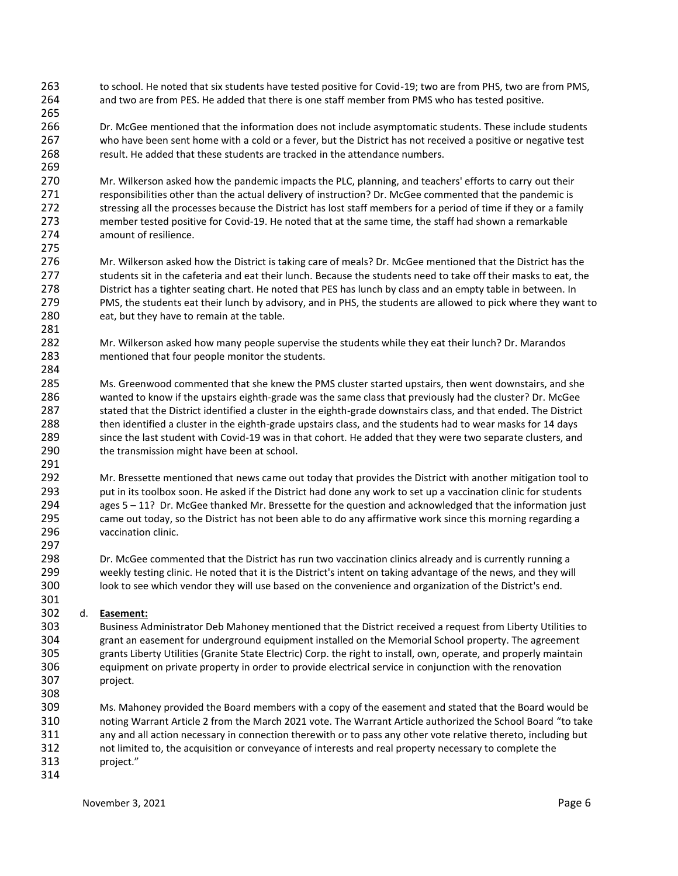- to school. He noted that six students have tested positive for Covid-19; two are from PHS, two are from PMS, and two are from PES. He added that there is one staff member from PMS who has tested positive.
- Dr. McGee mentioned that the information does not include asymptomatic students. These include students who have been sent home with a cold or a fever, but the District has not received a positive or negative test result. He added that these students are tracked in the attendance numbers.
- Mr. Wilkerson asked how the pandemic impacts the PLC, planning, and teachers' efforts to carry out their responsibilities other than the actual delivery of instruction? Dr. McGee commented that the pandemic is 272 stressing all the processes because the District has lost staff members for a period of time if they or a family member tested positive for Covid-19. He noted that at the same time, the staff had shown a remarkable amount of resilience.
- Mr. Wilkerson asked how the District is taking care of meals? Dr. McGee mentioned that the District has the 277 students sit in the cafeteria and eat their lunch. Because the students need to take off their masks to eat, the District has a tighter seating chart. He noted that PES has lunch by class and an empty table in between. In PMS, the students eat their lunch by advisory, and in PHS, the students are allowed to pick where they want to 280 eat, but they have to remain at the table.
- Mr. Wilkerson asked how many people supervise the students while they eat their lunch? Dr. Marandos mentioned that four people monitor the students.
- Ms. Greenwood commented that she knew the PMS cluster started upstairs, then went downstairs, and she wanted to know if the upstairs eighth-grade was the same class that previously had the cluster? Dr. McGee stated that the District identified a cluster in the eighth-grade downstairs class, and that ended. The District then identified a cluster in the eighth-grade upstairs class, and the students had to wear masks for 14 days since the last student with Covid-19 was in that cohort. He added that they were two separate clusters, and 290 the transmission might have been at school.
- Mr. Bressette mentioned that news came out today that provides the District with another mitigation tool to put in its toolbox soon. He asked if the District had done any work to set up a vaccination clinic for students ages 5 – 11? Dr. McGee thanked Mr. Bressette for the question and acknowledged that the information just came out today, so the District has not been able to do any affirmative work since this morning regarding a vaccination clinic.
- Dr. McGee commented that the District has run two vaccination clinics already and is currently running a weekly testing clinic. He noted that it is the District's intent on taking advantage of the news, and they will look to see which vendor they will use based on the convenience and organization of the District's end.

#### 301<br>302 d. **Easement:**

- Business Administrator Deb Mahoney mentioned that the District received a request from Liberty Utilities to grant an easement for underground equipment installed on the Memorial School property. The agreement grants Liberty Utilities (Granite State Electric) Corp. the right to install, own, operate, and properly maintain equipment on private property in order to provide electrical service in conjunction with the renovation project.
- Ms. Mahoney provided the Board members with a copy of the easement and stated that the Board would be noting Warrant Article 2 from the March 2021 vote. The Warrant Article authorized the School Board "to take any and all action necessary in connection therewith or to pass any other vote relative thereto, including but not limited to, the acquisition or conveyance of interests and real property necessary to complete the project."
-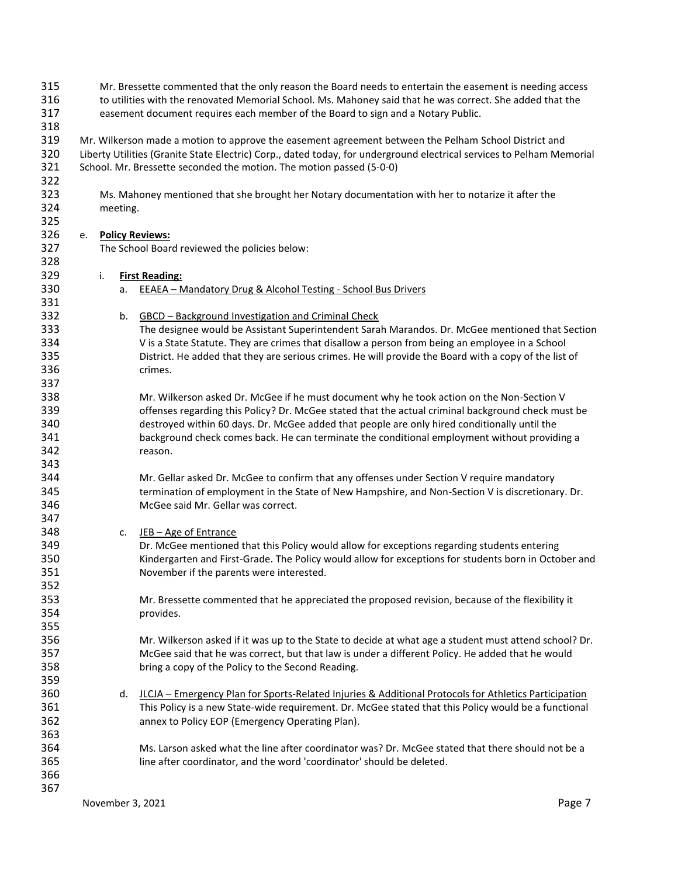| 315 |    | Mr. Bressette commented that the only reason the Board needs to entertain the easement is needing access |                        |                                                                                                                       |  |
|-----|----|----------------------------------------------------------------------------------------------------------|------------------------|-----------------------------------------------------------------------------------------------------------------------|--|
| 316 |    |                                                                                                          |                        | to utilities with the renovated Memorial School. Ms. Mahoney said that he was correct. She added that the             |  |
| 317 |    |                                                                                                          |                        | easement document requires each member of the Board to sign and a Notary Public.                                      |  |
| 318 |    |                                                                                                          |                        |                                                                                                                       |  |
| 319 |    |                                                                                                          |                        | Mr. Wilkerson made a motion to approve the easement agreement between the Pelham School District and                  |  |
| 320 |    |                                                                                                          |                        | Liberty Utilities (Granite State Electric) Corp., dated today, for underground electrical services to Pelham Memorial |  |
| 321 |    |                                                                                                          |                        | School. Mr. Bressette seconded the motion. The motion passed (5-0-0)                                                  |  |
| 322 |    |                                                                                                          |                        |                                                                                                                       |  |
| 323 |    |                                                                                                          |                        | Ms. Mahoney mentioned that she brought her Notary documentation with her to notarize it after the                     |  |
| 324 |    |                                                                                                          | meeting.               |                                                                                                                       |  |
| 325 |    |                                                                                                          |                        |                                                                                                                       |  |
| 326 | e. |                                                                                                          | <b>Policy Reviews:</b> |                                                                                                                       |  |
| 327 |    |                                                                                                          |                        | The School Board reviewed the policies below:                                                                         |  |
| 328 |    |                                                                                                          |                        |                                                                                                                       |  |
| 329 |    | i.                                                                                                       |                        | <b>First Reading:</b>                                                                                                 |  |
| 330 |    |                                                                                                          | а.                     | <b>EEAEA - Mandatory Drug &amp; Alcohol Testing - School Bus Drivers</b>                                              |  |
| 331 |    |                                                                                                          |                        |                                                                                                                       |  |
| 332 |    |                                                                                                          | b.                     | GBCD - Background Investigation and Criminal Check                                                                    |  |
| 333 |    |                                                                                                          |                        | The designee would be Assistant Superintendent Sarah Marandos. Dr. McGee mentioned that Section                       |  |
| 334 |    |                                                                                                          |                        | V is a State Statute. They are crimes that disallow a person from being an employee in a School                       |  |
| 335 |    |                                                                                                          |                        | District. He added that they are serious crimes. He will provide the Board with a copy of the list of                 |  |
| 336 |    |                                                                                                          |                        | crimes.                                                                                                               |  |
| 337 |    |                                                                                                          |                        |                                                                                                                       |  |
| 338 |    |                                                                                                          |                        | Mr. Wilkerson asked Dr. McGee if he must document why he took action on the Non-Section V                             |  |
| 339 |    |                                                                                                          |                        | offenses regarding this Policy? Dr. McGee stated that the actual criminal background check must be                    |  |
| 340 |    |                                                                                                          |                        | destroyed within 60 days. Dr. McGee added that people are only hired conditionally until the                          |  |
| 341 |    |                                                                                                          |                        | background check comes back. He can terminate the conditional employment without providing a                          |  |
| 342 |    |                                                                                                          |                        | reason.                                                                                                               |  |
| 343 |    |                                                                                                          |                        |                                                                                                                       |  |
| 344 |    |                                                                                                          |                        | Mr. Gellar asked Dr. McGee to confirm that any offenses under Section V require mandatory                             |  |
| 345 |    |                                                                                                          |                        | termination of employment in the State of New Hampshire, and Non-Section V is discretionary. Dr.                      |  |
| 346 |    |                                                                                                          |                        | McGee said Mr. Gellar was correct.                                                                                    |  |
| 347 |    |                                                                                                          |                        |                                                                                                                       |  |
| 348 |    |                                                                                                          | c.                     | JEB - Age of Entrance                                                                                                 |  |
| 349 |    |                                                                                                          |                        | Dr. McGee mentioned that this Policy would allow for exceptions regarding students entering                           |  |
| 350 |    |                                                                                                          |                        | Kindergarten and First-Grade. The Policy would allow for exceptions for students born in October and                  |  |
| 351 |    |                                                                                                          |                        | November if the parents were interested.                                                                              |  |
| 352 |    |                                                                                                          |                        |                                                                                                                       |  |
| 353 |    |                                                                                                          |                        | Mr. Bressette commented that he appreciated the proposed revision, because of the flexibility it                      |  |
| 354 |    |                                                                                                          |                        | provides.                                                                                                             |  |
| 355 |    |                                                                                                          |                        |                                                                                                                       |  |
| 356 |    |                                                                                                          |                        | Mr. Wilkerson asked if it was up to the State to decide at what age a student must attend school? Dr.                 |  |
| 357 |    |                                                                                                          |                        | McGee said that he was correct, but that law is under a different Policy. He added that he would                      |  |
| 358 |    |                                                                                                          |                        | bring a copy of the Policy to the Second Reading.                                                                     |  |
| 359 |    |                                                                                                          |                        |                                                                                                                       |  |
| 360 |    |                                                                                                          | d.                     | JLCJA - Emergency Plan for Sports-Related Injuries & Additional Protocols for Athletics Participation                 |  |
| 361 |    |                                                                                                          |                        | This Policy is a new State-wide requirement. Dr. McGee stated that this Policy would be a functional                  |  |
| 362 |    |                                                                                                          |                        | annex to Policy EOP (Emergency Operating Plan).                                                                       |  |
| 363 |    |                                                                                                          |                        |                                                                                                                       |  |
| 364 |    |                                                                                                          |                        | Ms. Larson asked what the line after coordinator was? Dr. McGee stated that there should not be a                     |  |
| 365 |    |                                                                                                          |                        | line after coordinator, and the word 'coordinator' should be deleted.                                                 |  |
| 366 |    |                                                                                                          |                        |                                                                                                                       |  |
| 367 |    |                                                                                                          |                        |                                                                                                                       |  |
|     |    |                                                                                                          |                        | Page 7<br>November 3, 2021                                                                                            |  |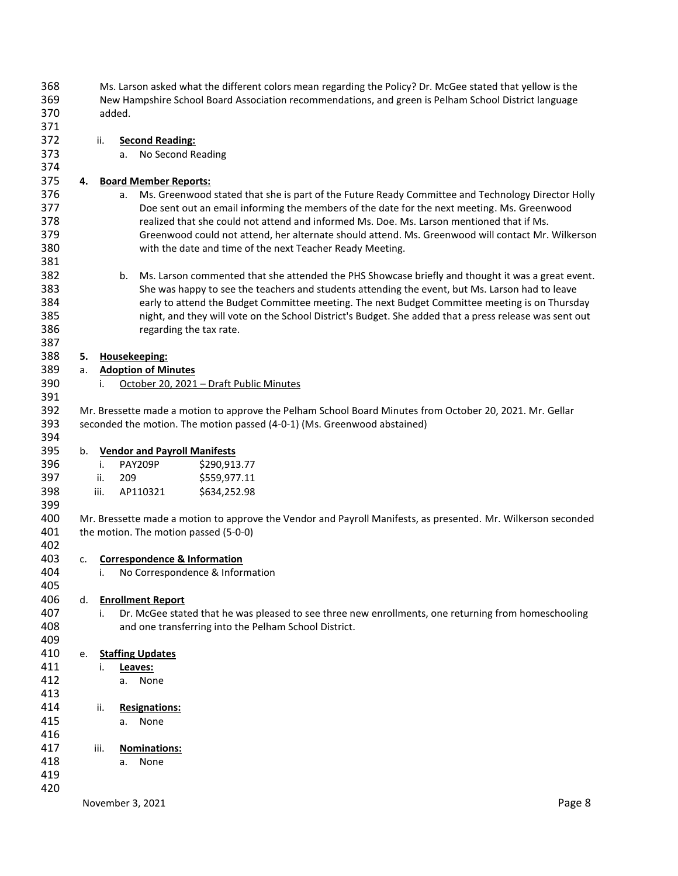| 368        |        | Ms. Larson asked what the different colors mean regarding the Policy? Dr. McGee stated that yellow is the |                                                                                                               |  |  |  |
|------------|--------|-----------------------------------------------------------------------------------------------------------|---------------------------------------------------------------------------------------------------------------|--|--|--|
| 369        |        | New Hampshire School Board Association recommendations, and green is Pelham School District language      |                                                                                                               |  |  |  |
| 370        | added. |                                                                                                           |                                                                                                               |  |  |  |
| 371        |        |                                                                                                           |                                                                                                               |  |  |  |
| 372        |        | ii.                                                                                                       | <b>Second Reading:</b>                                                                                        |  |  |  |
| 373<br>374 |        | a.                                                                                                        | No Second Reading                                                                                             |  |  |  |
| 375        | 4.     |                                                                                                           | <b>Board Member Reports:</b>                                                                                  |  |  |  |
| 376        |        | а.                                                                                                        | Ms. Greenwood stated that she is part of the Future Ready Committee and Technology Director Holly             |  |  |  |
| 377        |        |                                                                                                           | Doe sent out an email informing the members of the date for the next meeting. Ms. Greenwood                   |  |  |  |
| 378        |        |                                                                                                           | realized that she could not attend and informed Ms. Doe. Ms. Larson mentioned that if Ms.                     |  |  |  |
| 379        |        |                                                                                                           | Greenwood could not attend, her alternate should attend. Ms. Greenwood will contact Mr. Wilkerson             |  |  |  |
| 380        |        |                                                                                                           | with the date and time of the next Teacher Ready Meeting.                                                     |  |  |  |
| 381        |        |                                                                                                           |                                                                                                               |  |  |  |
| 382        |        | b.                                                                                                        | Ms. Larson commented that she attended the PHS Showcase briefly and thought it was a great event.             |  |  |  |
| 383        |        |                                                                                                           | She was happy to see the teachers and students attending the event, but Ms. Larson had to leave               |  |  |  |
| 384        |        |                                                                                                           | early to attend the Budget Committee meeting. The next Budget Committee meeting is on Thursday                |  |  |  |
| 385        |        |                                                                                                           | night, and they will vote on the School District's Budget. She added that a press release was sent out        |  |  |  |
| 386        |        |                                                                                                           | regarding the tax rate.                                                                                       |  |  |  |
| 387        |        |                                                                                                           |                                                                                                               |  |  |  |
| 388        | 5.     |                                                                                                           | Housekeeping:                                                                                                 |  |  |  |
| 389        | a.     |                                                                                                           | <b>Adoption of Minutes</b>                                                                                    |  |  |  |
| 390        |        | i.                                                                                                        | October 20, 2021 - Draft Public Minutes                                                                       |  |  |  |
| 391        |        |                                                                                                           |                                                                                                               |  |  |  |
| 392        |        |                                                                                                           | Mr. Bressette made a motion to approve the Pelham School Board Minutes from October 20, 2021. Mr. Gellar      |  |  |  |
| 393        |        |                                                                                                           | seconded the motion. The motion passed (4-0-1) (Ms. Greenwood abstained)                                      |  |  |  |
| 394        |        |                                                                                                           |                                                                                                               |  |  |  |
| 395        | b.     |                                                                                                           | <b>Vendor and Payroll Manifests</b>                                                                           |  |  |  |
| 396        |        | i.                                                                                                        | PAY209P<br>\$290,913.77                                                                                       |  |  |  |
| 397        |        | ii.<br>209                                                                                                | \$559,977.11                                                                                                  |  |  |  |
| 398        |        | iii.                                                                                                      | AP110321<br>\$634,252.98                                                                                      |  |  |  |
| 399        |        |                                                                                                           |                                                                                                               |  |  |  |
| 400        |        |                                                                                                           | Mr. Bressette made a motion to approve the Vendor and Payroll Manifests, as presented. Mr. Wilkerson seconded |  |  |  |
| 401        |        |                                                                                                           | the motion. The motion passed (5-0-0)                                                                         |  |  |  |
| 402        |        |                                                                                                           |                                                                                                               |  |  |  |
| 403        | c.     |                                                                                                           | <b>Correspondence &amp; Information</b>                                                                       |  |  |  |
| 404        |        | i.                                                                                                        | No Correspondence & Information                                                                               |  |  |  |
| 405        |        |                                                                                                           |                                                                                                               |  |  |  |
| 406        | d.     |                                                                                                           | <b>Enrollment Report</b>                                                                                      |  |  |  |
| 407        |        | i.                                                                                                        | Dr. McGee stated that he was pleased to see three new enrollments, one returning from homeschooling           |  |  |  |
| 408        |        |                                                                                                           | and one transferring into the Pelham School District.                                                         |  |  |  |
| 409        |        |                                                                                                           |                                                                                                               |  |  |  |
| 410        | e.     |                                                                                                           | <b>Staffing Updates</b>                                                                                       |  |  |  |
| 411        |        | i.                                                                                                        | Leaves:                                                                                                       |  |  |  |
| 412        |        | a.                                                                                                        | None                                                                                                          |  |  |  |
| 413        |        |                                                                                                           |                                                                                                               |  |  |  |
| 414        |        | ii.                                                                                                       | <b>Resignations:</b>                                                                                          |  |  |  |
| 415        |        |                                                                                                           |                                                                                                               |  |  |  |
|            |        | a.                                                                                                        | None                                                                                                          |  |  |  |
| 416        |        |                                                                                                           |                                                                                                               |  |  |  |
| 417        |        | iii.                                                                                                      | Nominations:                                                                                                  |  |  |  |
| 418        |        | a.                                                                                                        | None                                                                                                          |  |  |  |
| 419        |        |                                                                                                           |                                                                                                               |  |  |  |